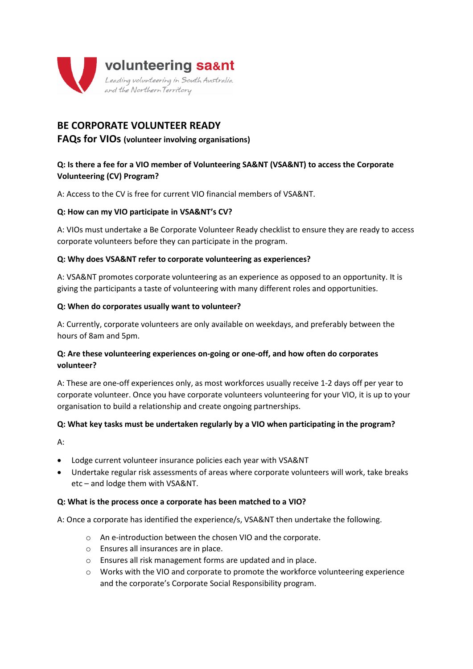

# **BE CORPORATE VOLUNTEER READY**

# **FAQs for VIOs (volunteer involving organisations)**

# **Q: Is there a fee for a VIO member of Volunteering SA&NT (VSA&NT) to access the Corporate Volunteering (CV) Program?**

A: Access to the CV is free for current VIO financial members of VSA&NT.

# **Q: How can my VIO participate in VSA&NT's CV?**

A: VIOs must undertake a Be Corporate Volunteer Ready checklist to ensure they are ready to access corporate volunteers before they can participate in the program.

#### **Q: Why does VSA&NT refer to corporate volunteering as experiences?**

A: VSA&NT promotes corporate volunteering as an experience as opposed to an opportunity. It is giving the participants a taste of volunteering with many different roles and opportunities.

#### **Q: When do corporates usually want to volunteer?**

A: Currently, corporate volunteers are only available on weekdays, and preferably between the hours of 8am and 5pm.

# **Q: Are these volunteering experiences on-going or one-off, and how often do corporates volunteer?**

A: These are one-off experiences only, as most workforces usually receive 1-2 days off per year to corporate volunteer. Once you have corporate volunteers volunteering for your VIO, it is up to your organisation to build a relationship and create ongoing partnerships.

# **Q: What key tasks must be undertaken regularly by a VIO when participating in the program?**

A:

- Lodge current volunteer insurance policies each year with VSA&NT
- Undertake regular risk assessments of areas where corporate volunteers will work, take breaks etc – and lodge them with VSA&NT.

#### **Q: What is the process once a corporate has been matched to a VIO?**

A: Once a corporate has identified the experience/s, VSA&NT then undertake the following.

- o An e-introduction between the chosen VIO and the corporate.
- o Ensures all insurances are in place.
- o Ensures all risk management forms are updated and in place.
- o Works with the VIO and corporate to promote the workforce volunteering experience and the corporate's Corporate Social Responsibility program.